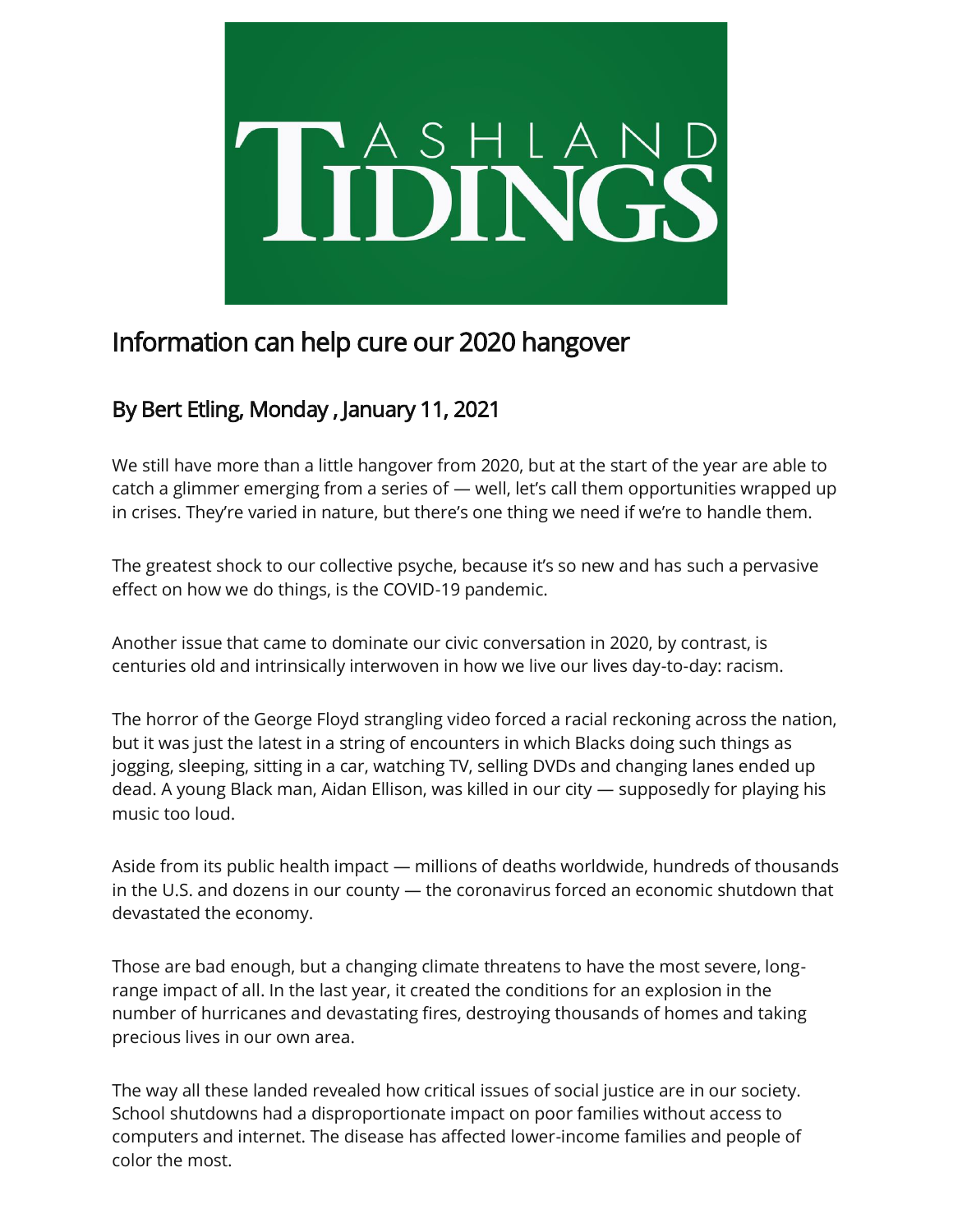

## Information can help cure our 2020 hangover

## By Bert Etling, Monday , January 11, 2021

We still have more than a little hangover from 2020, but at the start of the year are able to catch a glimmer emerging from a series of — well, let's call them opportunities wrapped up in crises. They're varied in nature, but there's one thing we need if we're to handle them.

The greatest shock to our collective psyche, because it's so new and has such a pervasive effect on how we do things, is the COVID-19 pandemic.

Another issue that came to dominate our civic conversation in 2020, by contrast, is centuries old and intrinsically interwoven in how we live our lives day-to-day: racism.

The horror of the George Floyd strangling video forced a racial reckoning across the nation, but it was just the latest in a string of encounters in which Blacks doing such things as jogging, sleeping, sitting in a car, watching TV, selling DVDs and changing lanes ended up dead. A young Black man, Aidan Ellison, was killed in our city — supposedly for playing his music too loud.

Aside from its public health impact — millions of deaths worldwide, hundreds of thousands in the U.S. and dozens in our county — the coronavirus forced an economic shutdown that devastated the economy.

Those are bad enough, but a changing climate threatens to have the most severe, longrange impact of all. In the last year, it created the conditions for an explosion in the number of hurricanes and devastating fires, destroying thousands of homes and taking precious lives in our own area.

The way all these landed revealed how critical issues of social justice are in our society. School shutdowns had a disproportionate impact on poor families without access to computers and internet. The disease has affected lower-income families and people of color the most.